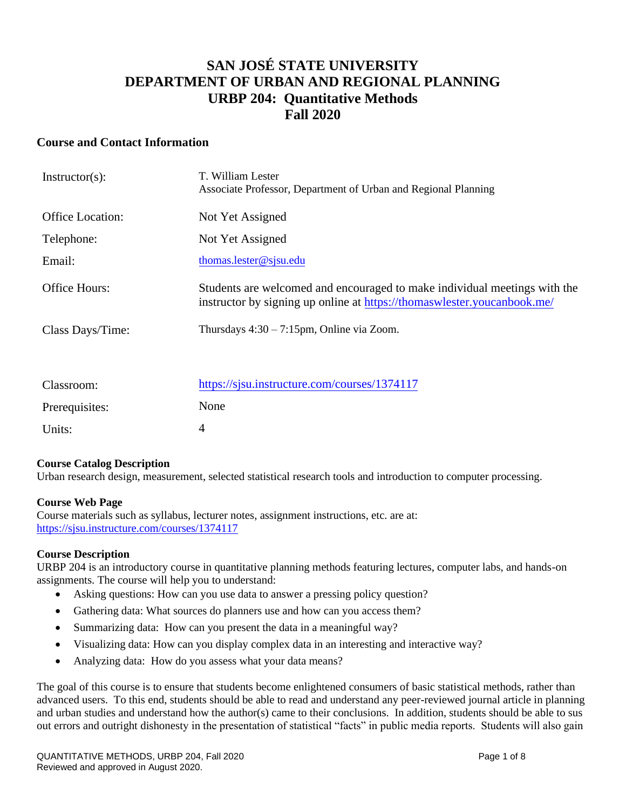## **SAN JOSÉ STATE UNIVERSITY DEPARTMENT OF URBAN AND REGIONAL PLANNING URBP 204: Quantitative Methods Fall 2020**

## **Course and Contact Information**

| $Instructor(s)$ :       | T. William Lester<br>Associate Professor, Department of Urban and Regional Planning                                                                  |
|-------------------------|------------------------------------------------------------------------------------------------------------------------------------------------------|
| <b>Office Location:</b> | Not Yet Assigned                                                                                                                                     |
| Telephone:              | Not Yet Assigned                                                                                                                                     |
| Email:                  | thomas.lester@sjsu.edu                                                                                                                               |
| Office Hours:           | Students are welcomed and encouraged to make individual meetings with the<br>instructor by signing up online at https://thomaswlester.youcanbook.me/ |
| Class Days/Time:        | Thursdays $4:30 - 7:15$ pm, Online via Zoom.                                                                                                         |
|                         |                                                                                                                                                      |
| Classroom:              | https://sjsu.instructure.com/courses/1374117                                                                                                         |
| Prerequisites:          | None                                                                                                                                                 |
| Units:                  | 4                                                                                                                                                    |

#### **Course Catalog Description**

Urban research design, measurement, selected statistical research tools and introduction to computer processing.

#### **Course Web Page**

Course materials such as syllabus, lecturer notes, assignment instructions, etc. are at: <https://sjsu.instructure.com/courses/1374117>

#### **Course Description**

URBP 204 is an introductory course in quantitative planning methods featuring lectures, computer labs, and hands-on assignments. The course will help you to understand:

- Asking questions: How can you use data to answer a pressing policy question?
- Gathering data: What sources do planners use and how can you access them?
- Summarizing data: How can you present the data in a meaningful way?
- Visualizing data: How can you display complex data in an interesting and interactive way?
- Analyzing data: How do you assess what your data means?

The goal of this course is to ensure that students become enlightened consumers of basic statistical methods, rather than advanced users. To this end, students should be able to read and understand any peer-reviewed journal article in planning and urban studies and understand how the author(s) came to their conclusions. In addition, students should be able to sus out errors and outright dishonesty in the presentation of statistical "facts" in public media reports. Students will also gain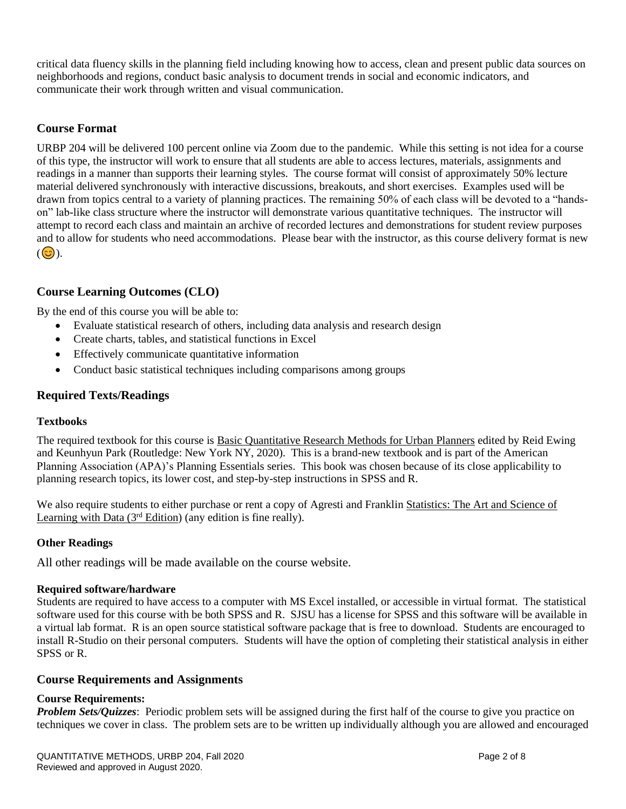critical data fluency skills in the planning field including knowing how to access, clean and present public data sources on neighborhoods and regions, conduct basic analysis to document trends in social and economic indicators, and communicate their work through written and visual communication.

## **Course Format**

URBP 204 will be delivered 100 percent online via Zoom due to the pandemic. While this setting is not idea for a course of this type, the instructor will work to ensure that all students are able to access lectures, materials, assignments and readings in a manner than supports their learning styles. The course format will consist of approximately 50% lecture material delivered synchronously with interactive discussions, breakouts, and short exercises. Examples used will be drawn from topics central to a variety of planning practices. The remaining 50% of each class will be devoted to a "handson" lab-like class structure where the instructor will demonstrate various quantitative techniques. The instructor will attempt to record each class and maintain an archive of recorded lectures and demonstrations for student review purposes and to allow for students who need accommodations. Please bear with the instructor, as this course delivery format is new  $(Q)$ ).

## **Course Learning Outcomes (CLO)**

By the end of this course you will be able to:

- Evaluate statistical research of others, including data analysis and research design
- Create charts, tables, and statistical functions in Excel
- Effectively communicate quantitative information
- Conduct basic statistical techniques including comparisons among groups

## **Required Texts/Readings**

#### **Textbooks**

The required textbook for this course is Basic Quantitative Research Methods for Urban Planners edited by Reid Ewing and Keunhyun Park (Routledge: New York NY, 2020). This is a brand-new textbook and is part of the American Planning Association (APA)'s Planning Essentials series. This book was chosen because of its close applicability to planning research topics, its lower cost, and step-by-step instructions in SPSS and R.

We also require students to either purchase or rent a copy of Agresti and Franklin Statistics: The Art and Science of Learning with Data  $(3<sup>rd</sup> Edition)$  (any edition is fine really).

#### **Other Readings**

All other readings will be made available on the course website.

#### **Required software/hardware**

Students are required to have access to a computer with MS Excel installed, or accessible in virtual format. The statistical software used for this course with be both SPSS and R. SJSU has a license for SPSS and this software will be available in a virtual lab format. R is an open source statistical software package that is free to download. Students are encouraged to install R-Studio on their personal computers. Students will have the option of completing their statistical analysis in either SPSS or R.

#### **Course Requirements and Assignments**

#### **Course Requirements:**

*Problem Sets/Quizzes*: Periodic problem sets will be assigned during the first half of the course to give you practice on techniques we cover in class. The problem sets are to be written up individually although you are allowed and encouraged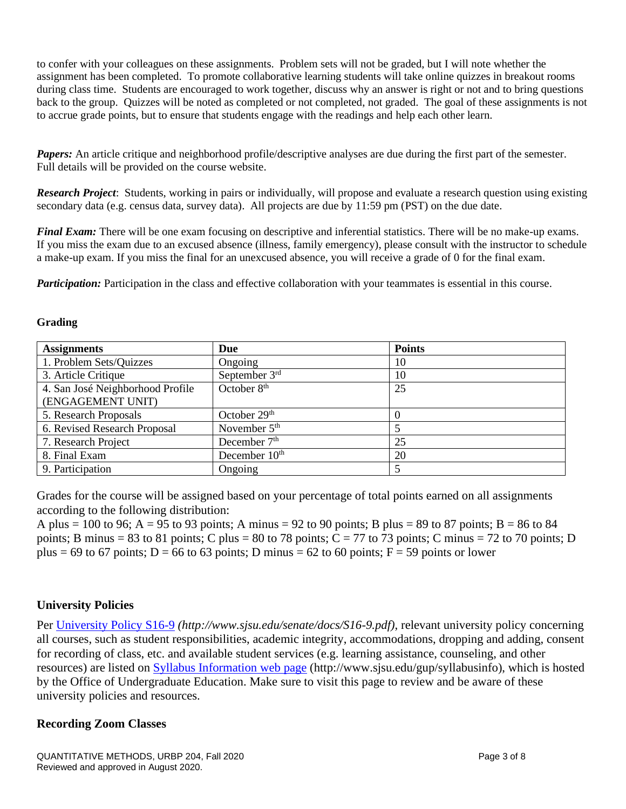to confer with your colleagues on these assignments. Problem sets will not be graded, but I will note whether the assignment has been completed. To promote collaborative learning students will take online quizzes in breakout rooms during class time. Students are encouraged to work together, discuss why an answer is right or not and to bring questions back to the group. Quizzes will be noted as completed or not completed, not graded. The goal of these assignments is not to accrue grade points, but to ensure that students engage with the readings and help each other learn.

*Papers:* An article critique and neighborhood profile/descriptive analyses are due during the first part of the semester. Full details will be provided on the course website.

*Research Project*: Students, working in pairs or individually, will propose and evaluate a research question using existing secondary data (e.g. census data, survey data). All projects are due by 11:59 pm (PST) on the due date.

*Final Exam:* There will be one exam focusing on descriptive and inferential statistics. There will be no make-up exams. If you miss the exam due to an excused absence (illness, family emergency), please consult with the instructor to schedule a make-up exam. If you miss the final for an unexcused absence, you will receive a grade of 0 for the final exam.

*Participation:* Participation in the class and effective collaboration with your teammates is essential in this course.

#### **Grading**

| <b>Assignments</b>                                    | Due                      | <b>Points</b> |
|-------------------------------------------------------|--------------------------|---------------|
| 1. Problem Sets/Quizzes                               | Ongoing                  | 10            |
| 3. Article Critique                                   | September $3rd$          | 10            |
| 4. San José Neighborhood Profile<br>(ENGAGEMENT UNIT) | October $8th$            | 25            |
| 5. Research Proposals                                 | October 29 <sup>th</sup> | $\Omega$      |
| 6. Revised Research Proposal                          | November $5th$           |               |
| 7. Research Project                                   | December $7th$           | 25            |
| 8. Final Exam                                         | December $10th$          | 20            |
| 9. Participation                                      | Ongoing                  |               |

Grades for the course will be assigned based on your percentage of total points earned on all assignments according to the following distribution:

A plus = 100 to 96; A = 95 to 93 points; A minus = 92 to 90 points; B plus = 89 to 87 points; B = 86 to 84 points; B minus = 83 to 81 points; C plus = 80 to 78 points; C = 77 to 73 points; C minus = 72 to 70 points; D plus = 69 to 67 points; D = 66 to 63 points; D minus = 62 to 60 points; F = 59 points or lower

## **University Policies**

Per [University Policy S16-9](http://www.sjsu.edu/senate/docs/S16-9.pdf) *(http://www.sjsu.edu/senate/docs/S16-9.pdf)*, relevant university policy concerning all courses, such as student responsibilities, academic integrity, accommodations, dropping and adding, consent for recording of class, etc. and available student services (e.g. learning assistance, counseling, and other resources) are listed on [Syllabus Information](http://www.sjsu.edu/gup/syllabusinfo/) web page (http://www.sjsu.edu/gup/syllabusinfo), which is hosted by the Office of Undergraduate Education. Make sure to visit this page to review and be aware of these university policies and resources.

## **Recording Zoom Classes**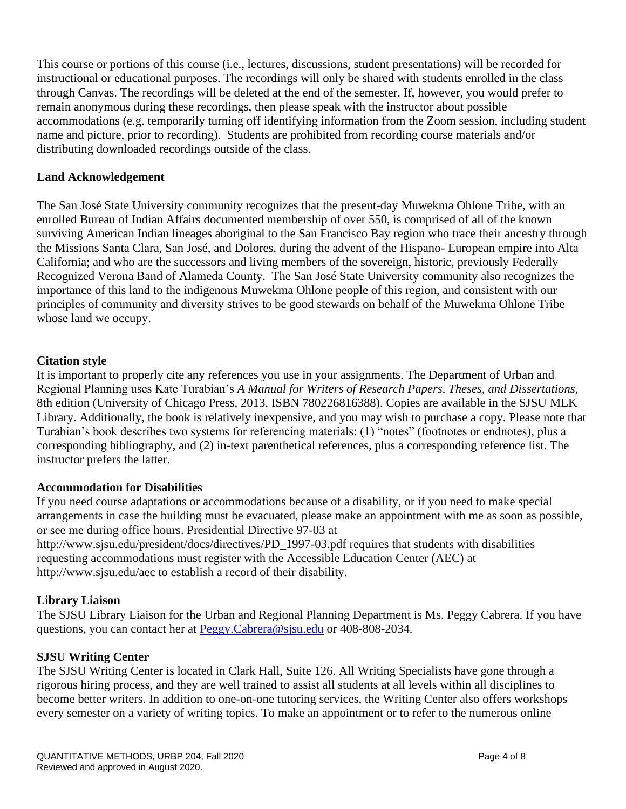This course or portions of this course (i.e., lectures, discussions, student presentations) will be recorded for instructional or educational purposes. The recordings will only be shared with students enrolled in the class through Canvas. The recordings will be deleted at the end of the semester. If, however, you would prefer to remain anonymous during these recordings, then please speak with the instructor about possible accommodations (e.g. temporarily turning off identifying information from the Zoom session, including student name and picture, prior to recording). Students are prohibited from recording course materials and/or distributing downloaded recordings outside of the class.

## **Land Acknowledgement**

The San José State University community recognizes that the present-day Muwekma Ohlone Tribe, with an enrolled Bureau of Indian Affairs documented membership of over 550, is comprised of all of the known surviving American Indian lineages aboriginal to the San Francisco Bay region who trace their ancestry through the Missions Santa Clara, San José, and Dolores, during the advent of the Hispano- European empire into Alta California; and who are the successors and living members of the sovereign, historic, previously Federally Recognized Verona Band of Alameda County. The San José State University community also recognizes the importance of this land to the indigenous Muwekma Ohlone people of this region, and consistent with our principles of community and diversity strives to be good stewards on behalf of the Muwekma Ohlone Tribe whose land we occupy.

## **Citation style**

It is important to properly cite any references you use in your assignments. The Department of Urban and Regional Planning uses Kate Turabian's *A Manual for Writers of Research Papers, Theses, and Dissertations*, 8th edition (University of Chicago Press, 2013, ISBN 780226816388). Copies are available in the SJSU MLK Library. Additionally, the book is relatively inexpensive, and you may wish to purchase a copy. Please note that Turabian's book describes two systems for referencing materials: (1) "notes" (footnotes or endnotes), plus a corresponding bibliography, and (2) in-text parenthetical references, plus a corresponding reference list. The instructor prefers the latter.

## **Accommodation for Disabilities**

If you need course adaptations or accommodations because of a disability, or if you need to make special arrangements in case the building must be evacuated, please make an appointment with me as soon as possible, or see me during office hours. Presidential Directive 97-03 at http://www.sjsu.edu/president/docs/directives/PD\_1997-03.pdf requires that students with disabilities requesting accommodations must register with the Accessible Education Center (AEC) at http://www.sjsu.edu/aec to establish a record of their disability.

## **Library Liaison**

The SJSU Library Liaison for the Urban and Regional Planning Department is Ms. Peggy Cabrera. If you have questions, you can contact her at [Peggy.Cabrera@sjsu.edu](mailto:Peggy.Cabrera@sjsu.edu) or 408-808-2034.

## **SJSU Writing Center**

The SJSU Writing Center is located in Clark Hall, Suite 126. All Writing Specialists have gone through a rigorous hiring process, and they are well trained to assist all students at all levels within all disciplines to become better writers. In addition to one-on-one tutoring services, the Writing Center also offers workshops every semester on a variety of writing topics. To make an appointment or to refer to the numerous online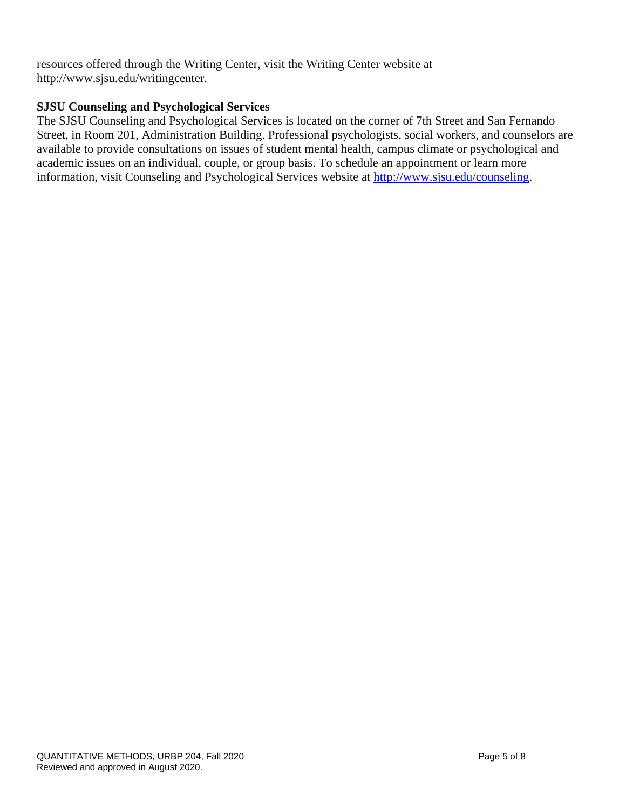resources offered through the Writing Center, visit the Writing Center website at http://www.sjsu.edu/writingcenter.

## **SJSU Counseling and Psychological Services**

The SJSU Counseling and Psychological Services is located on the corner of 7th Street and San Fernando Street, in Room 201, Administration Building. Professional psychologists, social workers, and counselors are available to provide consultations on issues of student mental health, campus climate or psychological and academic issues on an individual, couple, or group basis. To schedule an appointment or learn more information, visit Counseling and Psychological Services website at [http://www.sjsu.edu/counseling.](http://www.sjsu.edu/counseling)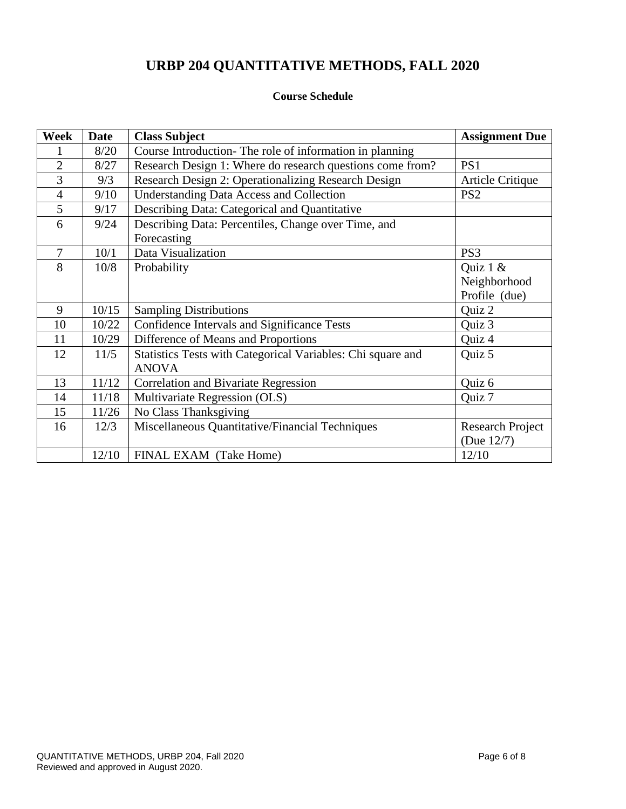# **URBP 204 QUANTITATIVE METHODS, FALL 2020**

## **Course Schedule**

| <b>Week</b>    | <b>Date</b> | <b>Class Subject</b>                                        | <b>Assignment Due</b>   |
|----------------|-------------|-------------------------------------------------------------|-------------------------|
|                | 8/20        | Course Introduction-The role of information in planning     |                         |
| $\overline{2}$ | 8/27        | Research Design 1: Where do research questions come from?   | PS1                     |
| 3              | 9/3         | Research Design 2: Operationalizing Research Design         | Article Critique        |
| $\overline{4}$ | 9/10        | <b>Understanding Data Access and Collection</b>             | PS <sub>2</sub>         |
| 5              | 9/17        | Describing Data: Categorical and Quantitative               |                         |
| 6              | 9/24        | Describing Data: Percentiles, Change over Time, and         |                         |
|                |             | Forecasting                                                 |                         |
| 7              | 10/1        | Data Visualization                                          | PS <sub>3</sub>         |
| 8              | 10/8        | Probability                                                 | Quiz 1 &                |
|                |             |                                                             | Neighborhood            |
|                |             |                                                             | Profile (due)           |
| 9              | 10/15       | <b>Sampling Distributions</b>                               | Quiz 2                  |
| 10             | 10/22       | Confidence Intervals and Significance Tests                 | Quiz 3                  |
| 11             | 10/29       | Difference of Means and Proportions                         | Quiz 4                  |
| 12             | 11/5        | Statistics Tests with Categorical Variables: Chi square and | Quiz 5                  |
|                |             | <b>ANOVA</b>                                                |                         |
| 13             | 11/12       | <b>Correlation and Bivariate Regression</b>                 | Quiz 6                  |
| 14             | 11/18       | Multivariate Regression (OLS)                               | Quiz 7                  |
| 15             | 11/26       | No Class Thanksgiving                                       |                         |
| 16             | 12/3        | Miscellaneous Quantitative/Financial Techniques             | <b>Research Project</b> |
|                |             |                                                             | (Due 12/7)              |
|                | 12/10       | FINAL EXAM (Take Home)                                      | 12/10                   |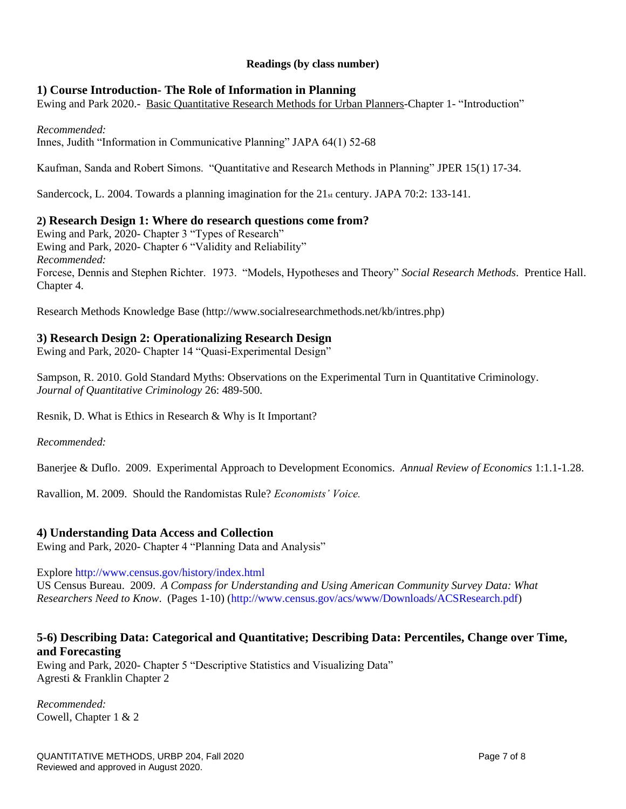## **Readings (by class number)**

## **1) Course Introduction- The Role of Information in Planning**

Ewing and Park 2020.- Basic Quantitative Research Methods for Urban Planners-Chapter 1- "Introduction"

### *Recommended:*

Innes, Judith "Information in Communicative Planning" JAPA 64(1) 52-68

Kaufman, Sanda and Robert Simons. "Quantitative and Research Methods in Planning" JPER 15(1) 17-34.

Sandercock, L. 2004. Towards a planning imagination for the  $21<sub>st</sub>$  century. JAPA 70:2: 133-141.

## **2) Research Design 1: Where do research questions come from?**

Ewing and Park, 2020- Chapter 3 "Types of Research" Ewing and Park, 2020- Chapter 6 "Validity and Reliability" *Recommended:* Forcese, Dennis and Stephen Richter. 1973. "Models, Hypotheses and Theory" *Social Research Methods*. Prentice Hall. Chapter 4.

Research Methods Knowledge Base (http://www.socialresearchmethods.net/kb/intres.php)

## **3) Research Design 2: Operationalizing Research Design**

Ewing and Park, 2020- Chapter 14 "Quasi-Experimental Design"

Sampson, R. 2010. Gold Standard Myths: Observations on the Experimental Turn in Quantitative Criminology. *Journal of Quantitative Criminology* 26: 489-500.

Resnik, D. What is Ethics in Research & Why is It Important?

*Recommended:*

Banerjee & Duflo. 2009. Experimental Approach to Development Economics. *Annual Review of Economics* 1:1.1-1.28.

Ravallion, M. 2009. Should the Randomistas Rule? *Economists' Voice.*

## **4) Understanding Data Access and Collection**

Ewing and Park, 2020- Chapter 4 "Planning Data and Analysis"

#### Explore<http://www.census.gov/history/index.html>

US Census Bureau. 2009. *A Compass for Understanding and Using American Community Survey Data: What Researchers Need to Know*. (Pages 1-10) [\(http://www.census.gov/acs/www/Downloads/ACSResearch.pdf\)](http://www.census.gov/acs/www/Downloads/ACSResearch.pdf)

## **5-6) Describing Data: Categorical and Quantitative; Describing Data: Percentiles, Change over Time, and Forecasting**

Ewing and Park, 2020- Chapter 5 "Descriptive Statistics and Visualizing Data" Agresti & Franklin Chapter 2

*Recommended:*  Cowell, Chapter 1 & 2